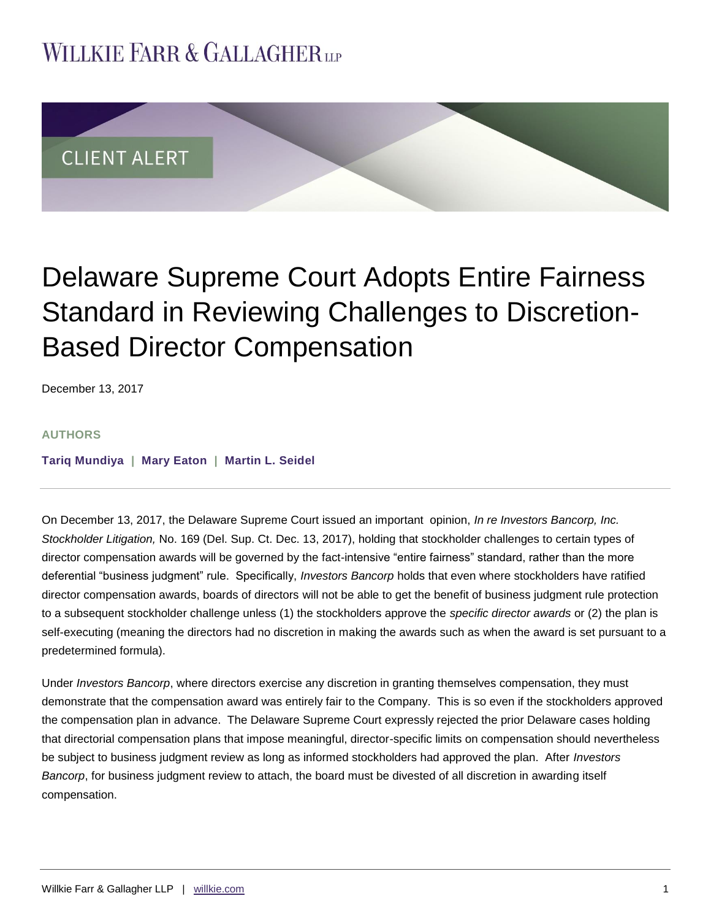## **WILLKIE FARR & GALLAGHERUP**



## Delaware Supreme Court Adopts Entire Fairness Standard in Reviewing Challenges to Discretion-Based Director Compensation

December 13, 2017

## **AUTHORS**

**[Tariq Mundiya](http://www.willkie.com/professionals/m/mundiya-tariq) | [Mary Eaton](http://www.willkie.com/professionals/e/eaton-mary) | [Martin L. Seidel](http://www.willkie.com/professionals/s/seidel-martin)**

On December 13, 2017, the Delaware Supreme Court issued an important opinion, *In re Investors Bancorp, Inc. Stockholder Litigation,* No. 169 (Del. Sup. Ct. Dec. 13, 2017), holding that stockholder challenges to certain types of director compensation awards will be governed by the fact-intensive "entire fairness" standard, rather than the more deferential "business judgment" rule. Specifically, *Investors Bancorp* holds that even where stockholders have ratified director compensation awards, boards of directors will not be able to get the benefit of business judgment rule protection to a subsequent stockholder challenge unless (1) the stockholders approve the *specific director awards* or (2) the plan is self-executing (meaning the directors had no discretion in making the awards such as when the award is set pursuant to a predetermined formula).

Under *Investors Bancorp*, where directors exercise any discretion in granting themselves compensation, they must demonstrate that the compensation award was entirely fair to the Company. This is so even if the stockholders approved the compensation plan in advance. The Delaware Supreme Court expressly rejected the prior Delaware cases holding that directorial compensation plans that impose meaningful, director-specific limits on compensation should nevertheless be subject to business judgment review as long as informed stockholders had approved the plan. After *Investors Bancorp*, for business judgment review to attach, the board must be divested of all discretion in awarding itself compensation.